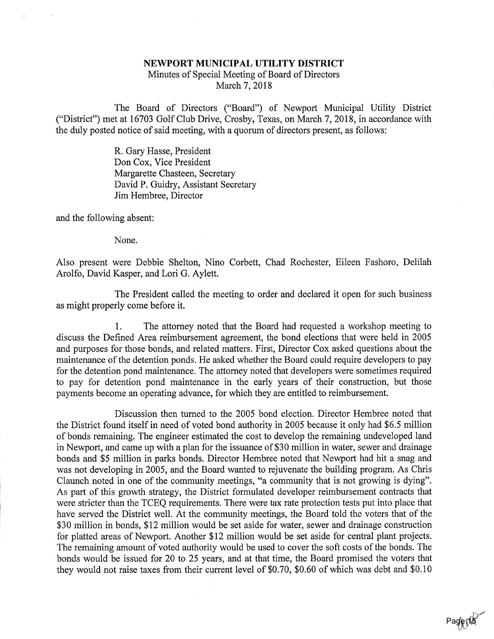## NEWPORT MUNICIPAL UTILITY DISTRICT

 Minutes of Special Meeting of Board of DirectorsMarch 7, 2018

The Board of Directors ("Board") of Newport Municipal Utility District ("District") met at 16703 Golf Club Drive, Crosby, Texas, on March 7, 2018, in accordance withthe duly posted notice of said meeting, with a quorum of directors present, as follows:

> R. Gary Hasse, President Don Cox, Vice President Margarette Chasteen, Secretary David P. Guidry, Assistant SecretaryJim Hembree, Director

and the following absent:

None.

Also present were Debbie Shelton, Nino Corbett, Chad Rochester, Eileen Fashoro, DelilahArolfo, David Kasper, and Lori G. Aylett.

The President called the meeting to order and declared it open for such businessas might properly come before it.

1. The attorney noted that the Board had requested a workshop meeting to discuss the Defined Area reimbursement agreement, the bond elections that were held in 2005 and purposes for those bonds, and related matters. First, Director Cox asked questions about the maintenance of the detention ponds. He asked whether the Board could require developers to pay for the detention pond maintenance. The attorney noted that developers were sometimes required to pay for detention pond maintenance in the early years of their construction, but thosepayments become an operating advance, for which they are entitled to reimbursement.

Discussion then turned to the 2005 bond election. Director Hembree noted that the District found itself in need of voted bond authority in 2005 because it only had \$6.5 millionof bonds remaining. The engineer estimated the cost to develop the remaining undeveloped land in Newport, and came up with a plan for the issuance of \$30 million in water, sewer and drainage bonds and \$5 million in parks bonds. Director Hembree noted that Newport had hit a snag and was not developing in 2005, and the Board wanted to rejuvenate the building program. As Chris Claunch noted in one of the community meetings, "a community that is not growing is dying".As part of this growth strategy, the District formulated developer reimbursement contracts tha were stricter than the TCEQ requirements. There were tax rate protection tests put into place that have served the District well. At the community meetings, the Board told the voters that of the \$30 million in bonds, \$12 million would be set aside for water, sewer and drainage construction for platted areas of Newport. Another \$12 million would be set aside for central plant projects. The remaining amount of voted authority would be used to cover the soft costs of the bonds. The bonds would be issued for 20 to 25 years, and at that time, the Board promised the voters thatthey would not raise taxes from their current level of \$0.70, \$0.60 of which was debt and \$0.10

> ;-,<'-Page 15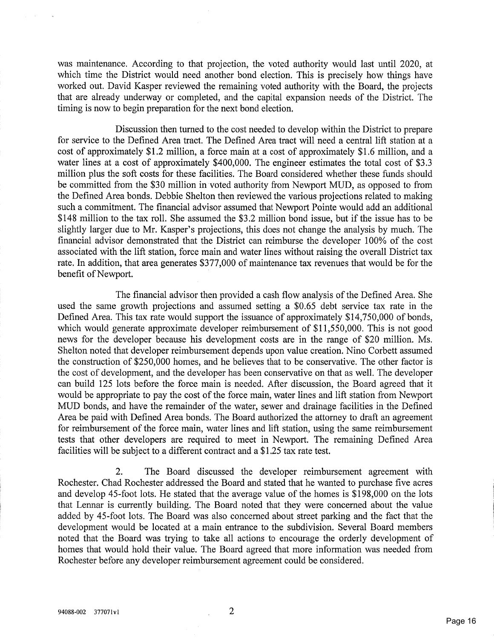was maintenance. According to that projection, the voted authority would last until 2020, at which time the District would need another bond election. This is precisely how things have worked out. David Kasper reviewed the remaining voted authority with the Board, the projects that are already underway or completed, and the capital expansion needs of the District. Thetiming is now to begin preparation for the next bond election.

Discussion then turned to the cost needed to develop within the District to prepare for service to the Defined Area tract. The Defined Area tract will need a central lift station at a cost of approximately \$1.2 million, a force main at a cost of approximately \$1.6 million, and a water lines at a cost of approximately \$400,000. The engineer estimates the total cost of \$3.3million plus the soft costs for these facilities. The Board considered whether these funds should be committed from the \$30 million in voted authority from Newport MUD, as opposed to from the Defined Area bonds. Debbie Shelton then reviewed the various projections related to making such a commitment. The financial advisor assumed that Newport Pointe would add an additional\$148 million to the tax roll. She assumed the \$3.2 million bond issue, but if the issue has to be slightly larger due to Mr. Kasper's projections, this does not change the analysis by much. The financial advisor demonstrated that the District can reimburse the developer 100% of the cost associated with the lifit station, force main and water lines without raising the overall District tax rate. In addition, that area generates \$377,000 of maintenance tax revenues that would be for thebenefit of Newport.

The financial advisor then provided a cash flow analysis of the Defined Area. She used the same growth projections and assumed setting a \$0.65 debt service tax rate in the Defined Area. This tax rate would support the issuance of approximately \$14,750,000 of bonds,which would generate approximate developer reimbursement of \$11,550,000. This is not good news for the developer because his development costs are in the range of \$20 million. Ms. Shelton noted that developer reimbursement depends upon value creation. Nino Corbett assumedthe construction of \$250,000 homes, and he believes that to be conservative. The other factor i the cost of development, and the developer has been conservative on that as well. The develope can build 125 lots before the force main is needed. After discussion, the Board agreed that itwould be appropriate to pay the cost of the force main, water lines and lift station from Newpor MUD bonds, and have the remainder of the water, sewer and drainage facilities in the Defined Area be paid with Defined Area bonds. The Board authorized the attorney to draft an agreement for reimbursement of the force main, water lines and lift station, using the same reimbursement tests that other developers are required to meet in Newport. The remaining Defined Areafacilities will be subject to a different contract and a \$1.25 tax rate test.

2. The Board discussed the developer reimbursement agreement with Rochester. Chad Rochester addressed the Board and stated that he wanted to purchase five acres and develop 45-foot lots. He stated that the average value of the homes is \$198,000 on the lots that Lennar is currently building. The Board noted that they were concerned about the value added by 45-foot lots. The Board was also concerned about street parking and the fact that the development would be located at a main entrance to the subdivision. Several Board members noted that the Board was trying to take all actions to encourage the orderly development of homes that would hold their value. The Board agreed that more information was needed fromRochester before any developer reimbursement agreement could be considered.